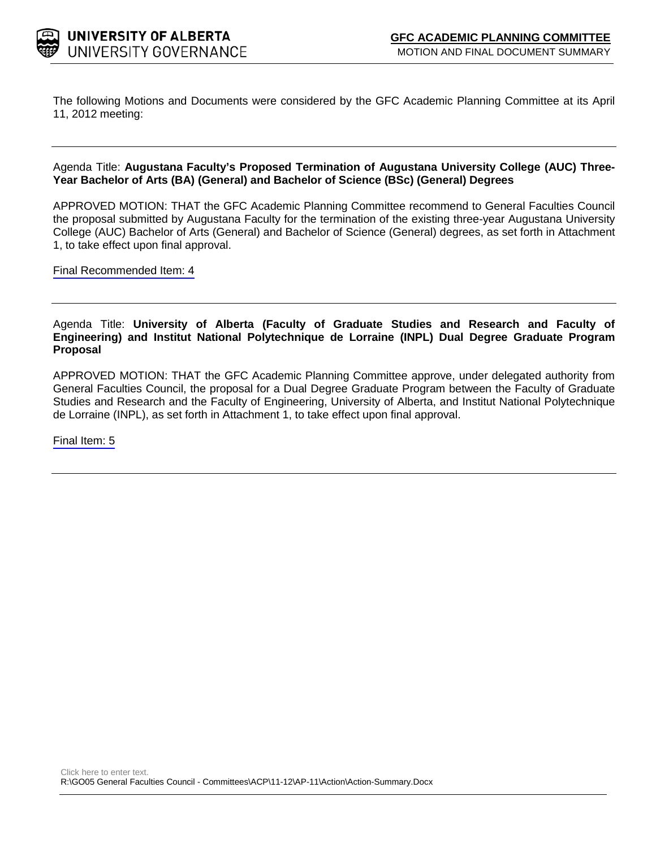

The following Motions and Documents were considered by the GFC Academic Planning Committee at its April 11, 2012 meeting:

#### Agenda Title: **Augustana Faculty's Proposed Termination of Augustana University College (AUC) Three-Year Bachelor of Arts (BA) (General) and Bachelor of Science (BSc) (General) Degrees**

APPROVED MOTION: THAT the GFC Academic Planning Committee recommend to General Faculties Council the proposal submitted by Augustana Faculty for the termination of the existing three-year Augustana University College (AUC) Bachelor of Arts (General) and Bachelor of Science (General) degrees, as set forth in Attachment 1, to take effect upon final approval.

[Final Recommended Item:](#page-2-0) 4

#### Agenda Title: **University of Alberta (Faculty of Graduate Studies and Research and Faculty of Engineering) and Institut National Polytechnique de Lorraine (INPL) Dual Degree Graduate Program Proposal**

APPROVED MOTION: THAT the GFC Academic Planning Committee approve, under delegated authority from General Faculties Council, the proposal for a Dual Degree Graduate Program between the Faculty of Graduate Studies and Research and the Faculty of Engineering, University of Alberta, and Institut National Polytechnique de Lorraine (INPL), as set forth in Attachment 1, to take effect upon final approval.

[Final Item:](#page-9-0) 5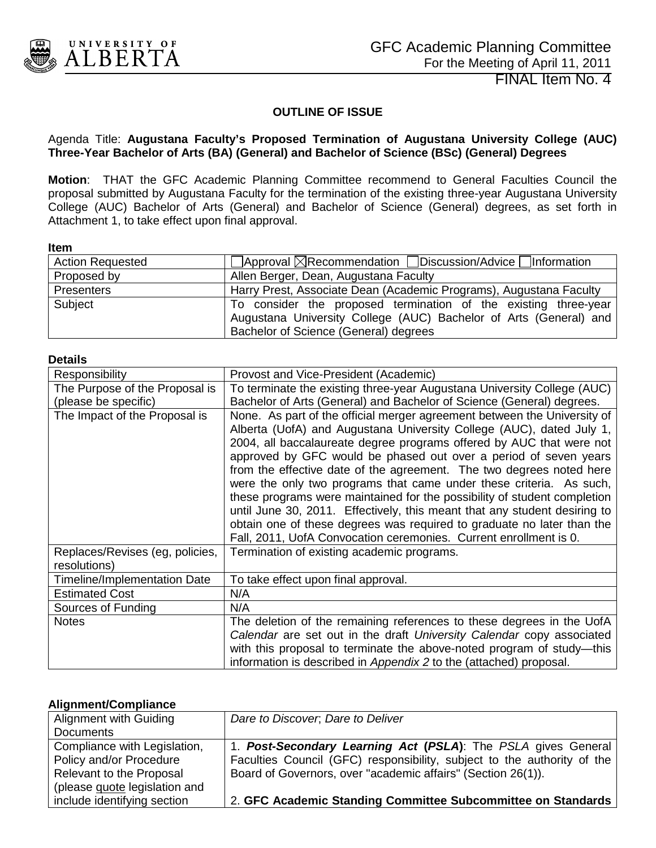<span id="page-2-0"></span>

#### **OUTLINE OF ISSUE**

#### Agenda Title: **Augustana Faculty's Proposed Termination of Augustana University College (AUC) Three-Year Bachelor of Arts (BA) (General) and Bachelor of Science (BSc) (General) Degrees**

**Motion**: THAT the GFC Academic Planning Committee recommend to General Faculties Council the proposal submitted by Augustana Faculty for the termination of the existing three-year Augustana University College (AUC) Bachelor of Arts (General) and Bachelor of Science (General) degrees, as set forth in Attachment 1, to take effect upon final approval.

#### **Item**

| <b>Action Requested</b> | $\Box$ Approval $\boxtimes$ Recommendation $\Box$ Discussion/Advice $\Box$ Information                                                                                        |
|-------------------------|-------------------------------------------------------------------------------------------------------------------------------------------------------------------------------|
| Proposed by             | Allen Berger, Dean, Augustana Faculty                                                                                                                                         |
| <b>Presenters</b>       | Harry Prest, Associate Dean (Academic Programs), Augustana Faculty                                                                                                            |
| Subject                 | To consider the proposed termination of the existing three-year<br>Augustana University College (AUC) Bachelor of Arts (General) and<br>Bachelor of Science (General) degrees |

#### **Details**

| Responsibility                                  | Provost and Vice-President (Academic)                                                                                                                                                                                                                                                                                                                                                                                                                                                                                                                                                                                                                                                                                                               |
|-------------------------------------------------|-----------------------------------------------------------------------------------------------------------------------------------------------------------------------------------------------------------------------------------------------------------------------------------------------------------------------------------------------------------------------------------------------------------------------------------------------------------------------------------------------------------------------------------------------------------------------------------------------------------------------------------------------------------------------------------------------------------------------------------------------------|
| The Purpose of the Proposal is                  | To terminate the existing three-year Augustana University College (AUC)                                                                                                                                                                                                                                                                                                                                                                                                                                                                                                                                                                                                                                                                             |
| (please be specific)                            | Bachelor of Arts (General) and Bachelor of Science (General) degrees.                                                                                                                                                                                                                                                                                                                                                                                                                                                                                                                                                                                                                                                                               |
| The Impact of the Proposal is                   | None. As part of the official merger agreement between the University of<br>Alberta (UofA) and Augustana University College (AUC), dated July 1,<br>2004, all baccalaureate degree programs offered by AUC that were not<br>approved by GFC would be phased out over a period of seven years<br>from the effective date of the agreement. The two degrees noted here<br>were the only two programs that came under these criteria. As such,<br>these programs were maintained for the possibility of student completion<br>until June 30, 2011. Effectively, this meant that any student desiring to<br>obtain one of these degrees was required to graduate no later than the<br>Fall, 2011, UofA Convocation ceremonies. Current enrollment is 0. |
| Replaces/Revises (eg, policies,<br>resolutions) | Termination of existing academic programs.                                                                                                                                                                                                                                                                                                                                                                                                                                                                                                                                                                                                                                                                                                          |
| <b>Timeline/Implementation Date</b>             | To take effect upon final approval.                                                                                                                                                                                                                                                                                                                                                                                                                                                                                                                                                                                                                                                                                                                 |
| <b>Estimated Cost</b>                           | N/A                                                                                                                                                                                                                                                                                                                                                                                                                                                                                                                                                                                                                                                                                                                                                 |
| Sources of Funding                              | N/A                                                                                                                                                                                                                                                                                                                                                                                                                                                                                                                                                                                                                                                                                                                                                 |
| <b>Notes</b>                                    | The deletion of the remaining references to these degrees in the UofA                                                                                                                                                                                                                                                                                                                                                                                                                                                                                                                                                                                                                                                                               |
|                                                 | Calendar are set out in the draft University Calendar copy associated                                                                                                                                                                                                                                                                                                                                                                                                                                                                                                                                                                                                                                                                               |
|                                                 | with this proposal to terminate the above-noted program of study-this                                                                                                                                                                                                                                                                                                                                                                                                                                                                                                                                                                                                                                                                               |
|                                                 | information is described in Appendix 2 to the (attached) proposal.                                                                                                                                                                                                                                                                                                                                                                                                                                                                                                                                                                                                                                                                                  |

#### **Alignment/Compliance**

| Alignment with Guiding        | Dare to Discover, Dare to Deliver                                       |
|-------------------------------|-------------------------------------------------------------------------|
| <b>Documents</b>              |                                                                         |
| Compliance with Legislation,  | 1. Post-Secondary Learning Act (PSLA): The PSLA gives General           |
| Policy and/or Procedure       | Faculties Council (GFC) responsibility, subject to the authority of the |
| Relevant to the Proposal      | Board of Governors, over "academic affairs" (Section 26(1)).            |
| (please quote legislation and |                                                                         |
| include identifying section   | 2. GFC Academic Standing Committee Subcommittee on Standards            |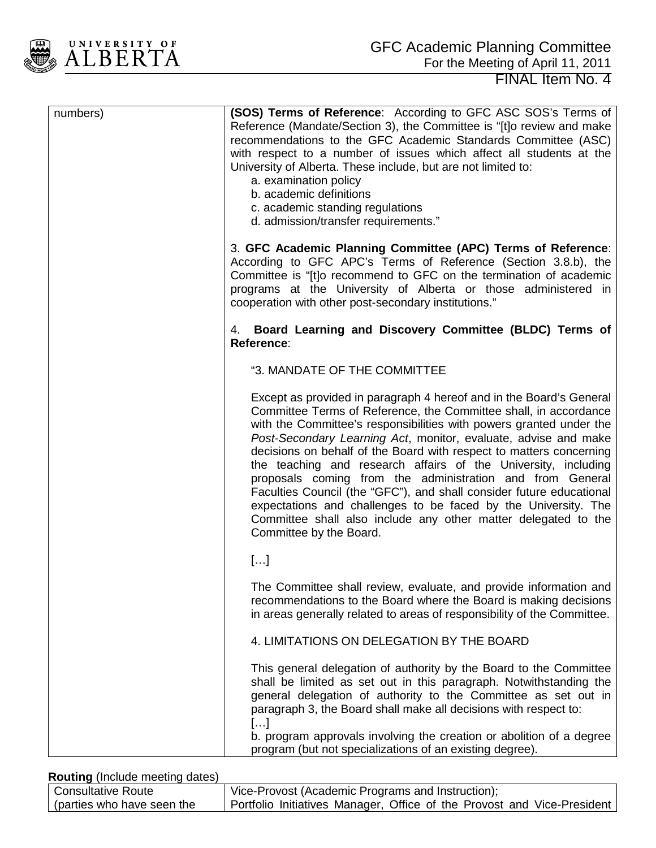

| numbers) | (SOS) Terms of Reference: According to GFC ASC SOS's Terms of<br>Reference (Mandate/Section 3), the Committee is "[t] o review and make<br>recommendations to the GFC Academic Standards Committee (ASC)<br>with respect to a number of issues which affect all students at the<br>University of Alberta. These include, but are not limited to:<br>a. examination policy<br>b. academic definitions<br>c. academic standing regulations<br>d. admission/transfer requirements."                                                                                                                                                                                                                                               |
|----------|--------------------------------------------------------------------------------------------------------------------------------------------------------------------------------------------------------------------------------------------------------------------------------------------------------------------------------------------------------------------------------------------------------------------------------------------------------------------------------------------------------------------------------------------------------------------------------------------------------------------------------------------------------------------------------------------------------------------------------|
|          | 3. GFC Academic Planning Committee (APC) Terms of Reference:<br>According to GFC APC's Terms of Reference (Section 3.8.b), the<br>Committee is "[t]o recommend to GFC on the termination of academic<br>programs at the University of Alberta or those administered in<br>cooperation with other post-secondary institutions."                                                                                                                                                                                                                                                                                                                                                                                                 |
|          | 4. Board Learning and Discovery Committee (BLDC) Terms of<br>Reference:                                                                                                                                                                                                                                                                                                                                                                                                                                                                                                                                                                                                                                                        |
|          | "3. MANDATE OF THE COMMITTEE                                                                                                                                                                                                                                                                                                                                                                                                                                                                                                                                                                                                                                                                                                   |
|          | Except as provided in paragraph 4 hereof and in the Board's General<br>Committee Terms of Reference, the Committee shall, in accordance<br>with the Committee's responsibilities with powers granted under the<br>Post-Secondary Learning Act, monitor, evaluate, advise and make<br>decisions on behalf of the Board with respect to matters concerning<br>the teaching and research affairs of the University, including<br>proposals coming from the administration and from General<br>Faculties Council (the "GFC"), and shall consider future educational<br>expectations and challenges to be faced by the University. The<br>Committee shall also include any other matter delegated to the<br>Committee by the Board. |
|          | []                                                                                                                                                                                                                                                                                                                                                                                                                                                                                                                                                                                                                                                                                                                             |
|          | The Committee shall review, evaluate, and provide information and<br>recommendations to the Board where the Board is making decisions<br>in areas generally related to areas of responsibility of the Committee.                                                                                                                                                                                                                                                                                                                                                                                                                                                                                                               |
|          | 4. LIMITATIONS ON DELEGATION BY THE BOARD                                                                                                                                                                                                                                                                                                                                                                                                                                                                                                                                                                                                                                                                                      |
|          | This general delegation of authority by the Board to the Committee<br>shall be limited as set out in this paragraph. Notwithstanding the<br>general delegation of authority to the Committee as set out in<br>paragraph 3, the Board shall make all decisions with respect to:<br>[]<br>b. program approvals involving the creation or abolition of a degree                                                                                                                                                                                                                                                                                                                                                                   |
|          | program (but not specializations of an existing degree).                                                                                                                                                                                                                                                                                                                                                                                                                                                                                                                                                                                                                                                                       |

#### **Routing** (Include meeting dates)

| Consultative Route_        | Vice-Provost (Academic Programs and Instruction);                          |
|----------------------------|----------------------------------------------------------------------------|
| (parties who have seen the | ' Portfolio Initiatives Manager, Office of the Provost and Vice-President, |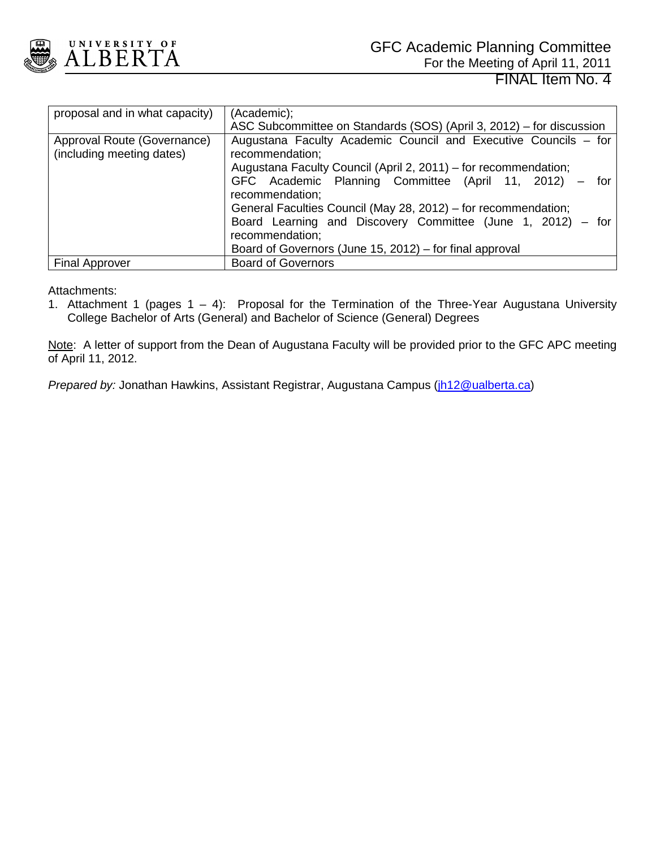

| proposal and in what capacity)                           | (Academic);<br>ASC Subcommittee on Standards (SOS) (April 3, 2012) – for discussion |
|----------------------------------------------------------|-------------------------------------------------------------------------------------|
| Approval Route (Governance)<br>(including meeting dates) | Augustana Faculty Academic Council and Executive Councils - for<br>recommendation;  |
|                                                          | Augustana Faculty Council (April 2, 2011) – for recommendation;                     |
|                                                          | GFC Academic Planning Committee (April 11, 2012) - for<br>recommendation;           |
|                                                          | General Faculties Council (May 28, 2012) – for recommendation;                      |
|                                                          | Board Learning and Discovery Committee (June 1, 2012) - for<br>recommendation;      |
|                                                          | Board of Governors (June 15, 2012) – for final approval                             |
| <b>Final Approver</b>                                    | <b>Board of Governors</b>                                                           |

Attachments:

1. Attachment 1 (pages 1 – 4): Proposal for the Termination of the Three-Year Augustana University College Bachelor of Arts (General) and Bachelor of Science (General) Degrees

Note: A letter of support from the Dean of Augustana Faculty will be provided prior to the GFC APC meeting of April 11, 2012.

*Prepared by:* Jonathan Hawkins, Assistant Registrar, Augustana Campus [\(jh12@ualberta.ca\)](mailto:jh12@ualberta.ca)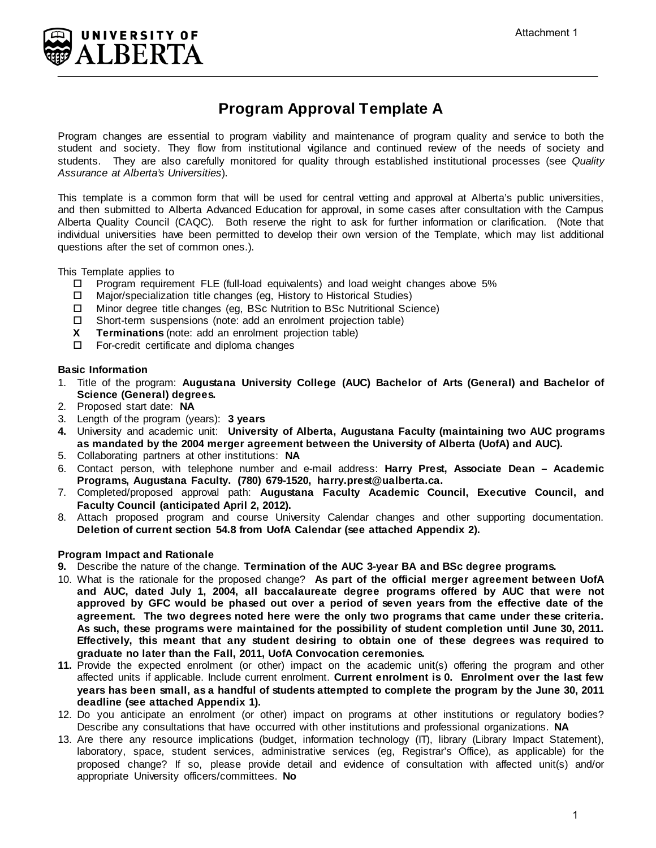

## **Program Approval Template A**

Program changes are essential to program viability and maintenance of program quality and service to both the student and society. They flow from institutional vigilance and continued review of the needs of society and students. They are also carefully monitored for quality through established institutional processes (see *Quality Assurance at Alberta's Universities*).

This template is a common form that will be used for central vetting and approval at Alberta's public universities, and then submitted to Alberta Advanced Education for approval, in some cases after consultation with the Campus Alberta Quality Council (CAQC). Both reserve the right to ask for further information or clarification. (Note that individual universities have been permitted to develop their own version of the Template, which may list additional questions after the set of common ones.).

This Template applies to

- $\Box$  Program requirement FLE (full-load equivalents) and load weight changes above 5%
- Major/specialization title changes (eg, History to Historical Studies)
- Minor degree title changes (eg, BSc Nutrition to BSc Nutritional Science)
- $\square$  Short-term suspensions (note: add an enrolment projection table)<br>**X** Terminations (note: add an enrolment projection table)
- **Terminations** (note: add an enrolment projection table)
- □ For-credit certificate and diploma changes

#### **Basic Information**

- 1. Title of the program: **Augustana University College (AUC) Bachelor of Arts (General) and Bachelor of Science (General) degrees.**
- 2. Proposed start date: **NA**
- 3. Length of the program (years): **3 years**
- **4.** University and academic unit: **University of Alberta, Augustana Faculty (maintaining two AUC programs as mandated by the 2004 merger agreement between the University of Alberta (UofA) and AUC).**
- 5. Collaborating partners at other institutions: **NA**
- 6. Contact person, with telephone number and e-mail address: **Harry Prest, Associate Dean Academic Programs, Augustana Faculty. (780) 679-1520, harry.prest@ualberta.ca.**
- 7. Completed/proposed approval path: **Augustana Faculty Academic Council, Executive Council, and Faculty Council (anticipated April 2, 2012).**
- 8. Attach proposed program and course University Calendar changes and other supporting documentation. **Deletion of current section 54.8 from UofA Calendar (see attached Appendix 2).**

#### **Program Impact and Rationale**

- **9.** Describe the nature of the change. **Termination of the AUC 3-year BA and BSc degree programs.**
- 10. What is the rationale for the proposed change? **As part of the official merger agreement between UofA and AUC, dated July 1, 2004, all baccalaureate degree programs offered by AUC that were not approved by GFC would be phased out over a period of seven years from the effective date of the agreement. The two degrees noted here were the only two programs that came under these criteria. As such, these programs were maintained for the possibility of student completion until June 30, 2011. Effectively, this meant that any student desiring to obtain one of these degrees was required to graduate no later than the Fall, 2011, UofA Convocation ceremonies.**
- **11.** Provide the expected enrolment (or other) impact on the academic unit(s) offering the program and other affected units if applicable. Include current enrolment. **Current enrolment is 0. Enrolment over the last few years has been small, as a handful of students attempted to complete the program by the June 30, 2011 deadline (see attached Appendix 1).**
- 12. Do you anticipate an enrolment (or other) impact on programs at other institutions or regulatory bodies? Describe any consultations that have occurred with other institutions and professional organizations. **NA**
- 13. Are there any resource implications (budget, information technology (IT), library (Library Impact Statement), laboratory, space, student services, administrative services (eg, Registrar's Office), as applicable) for the proposed change? If so, please provide detail and evidence of consultation with affected unit(s) and/or appropriate University officers/committees. **No**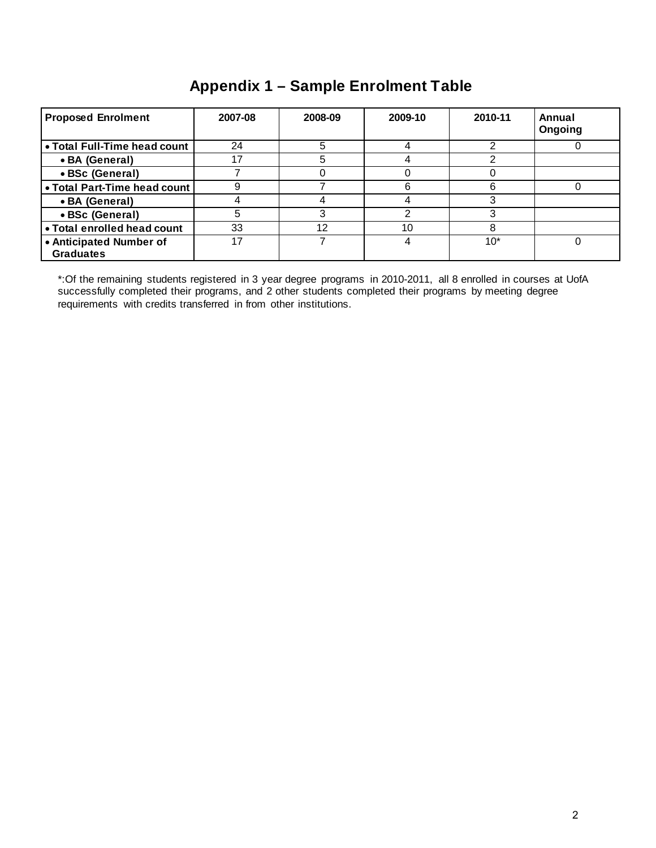## **Appendix 1 – Sample Enrolment Table**

| <b>Proposed Enrolment</b>                   | 2007-08 | 2008-09 | 2009-10 | 2010-11 | Annual<br>Ongoing |
|---------------------------------------------|---------|---------|---------|---------|-------------------|
| • Total Full-Time head count                | 24      | 5       |         |         |                   |
| • BA (General)                              | 17      |         |         |         |                   |
| • BSc (General)                             |         |         |         |         |                   |
| . Total Part-Time head count                |         |         |         | 6       |                   |
| • BA (General)                              |         |         |         |         |                   |
| • BSc (General)                             |         |         |         |         |                   |
| • Total enrolled head count                 | 33      | 12      | 10      |         |                   |
| • Anticipated Number of<br><b>Graduates</b> | 17      |         |         | $10*$   |                   |

\*:Of the remaining students registered in 3 year degree programs in 2010-2011, all 8 enrolled in courses at UofA successfully completed their programs, and 2 other students completed their programs by meeting degree requirements with credits transferred in from other institutions.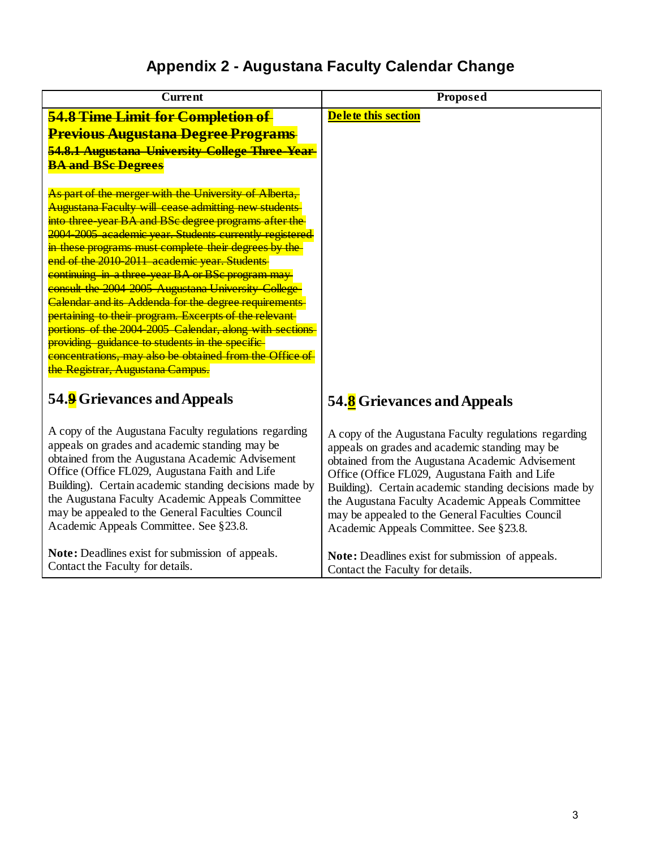## **Appendix 2 - Augustana Faculty Calendar Change**

| <b>Current</b>                                                                                                                                                                                                                                                                                                                                                                                                                                                                                                                                                                                                                                                                                                                                                                                                                                                                                                                                                  | Proposed                                                                                                                                                                                                                                                                                                                                                                                                                 |
|-----------------------------------------------------------------------------------------------------------------------------------------------------------------------------------------------------------------------------------------------------------------------------------------------------------------------------------------------------------------------------------------------------------------------------------------------------------------------------------------------------------------------------------------------------------------------------------------------------------------------------------------------------------------------------------------------------------------------------------------------------------------------------------------------------------------------------------------------------------------------------------------------------------------------------------------------------------------|--------------------------------------------------------------------------------------------------------------------------------------------------------------------------------------------------------------------------------------------------------------------------------------------------------------------------------------------------------------------------------------------------------------------------|
| 54.8 Time Limit for Completion of<br><b>Previous Augustana Degree Programs</b><br>54.8.1 Augustana University College Three-Year-<br><b>BA and BSc Degrees</b><br>As part of the merger with the University of Alberta,<br><b>Augustana Faculty will cease admitting new students</b><br>into three year BA and BSc degree programs after the<br>2004-2005 academic year. Students currently registered<br>in these programs must complete their degrees by the<br>end of the 2010-2011 academic year. Students<br>continuing in a three-year BA or BSc program may<br>consult the 2004-2005 Augustana University College<br><b>Calendar and its Addenda for the degree requirements</b><br>pertaining to their program. Excerpts of the relevant-<br>portions of the 2004 2005 Calendar, along with sections<br>providing guidance to students in the specific-<br>concentrations, may also be obtained from the Office of<br>the Registrar, Augustana Campus. | Delete this section                                                                                                                                                                                                                                                                                                                                                                                                      |
| 54.9 Grievances and Appeals                                                                                                                                                                                                                                                                                                                                                                                                                                                                                                                                                                                                                                                                                                                                                                                                                                                                                                                                     | 54.8 Grievances and Appeals                                                                                                                                                                                                                                                                                                                                                                                              |
| A copy of the Augustana Faculty regulations regarding<br>appeals on grades and academic standing may be<br>obtained from the Augustana Academic Advisement<br>Office (Office FL029, Augustana Faith and Life<br>Building). Certain academic standing decisions made by<br>the Augustana Faculty Academic Appeals Committee<br>may be appealed to the General Faculties Council<br>Academic Appeals Committee. See §23.8.                                                                                                                                                                                                                                                                                                                                                                                                                                                                                                                                        | A copy of the Augustana Faculty regulations regarding<br>appeals on grades and academic standing may be<br>obtained from the Augustana Academic Advisement<br>Office (Office FL029, Augustana Faith and Life<br>Building). Certain academic standing decisions made by<br>the Augustana Faculty Academic Appeals Committee<br>may be appealed to the General Faculties Council<br>Academic Appeals Committee. See §23.8. |
| <b>Note:</b> Deadlines exist for submission of appeals.<br>Contact the Faculty for details.                                                                                                                                                                                                                                                                                                                                                                                                                                                                                                                                                                                                                                                                                                                                                                                                                                                                     | Note: Deadlines exist for submission of appeals.<br>Contact the Faculty for details.                                                                                                                                                                                                                                                                                                                                     |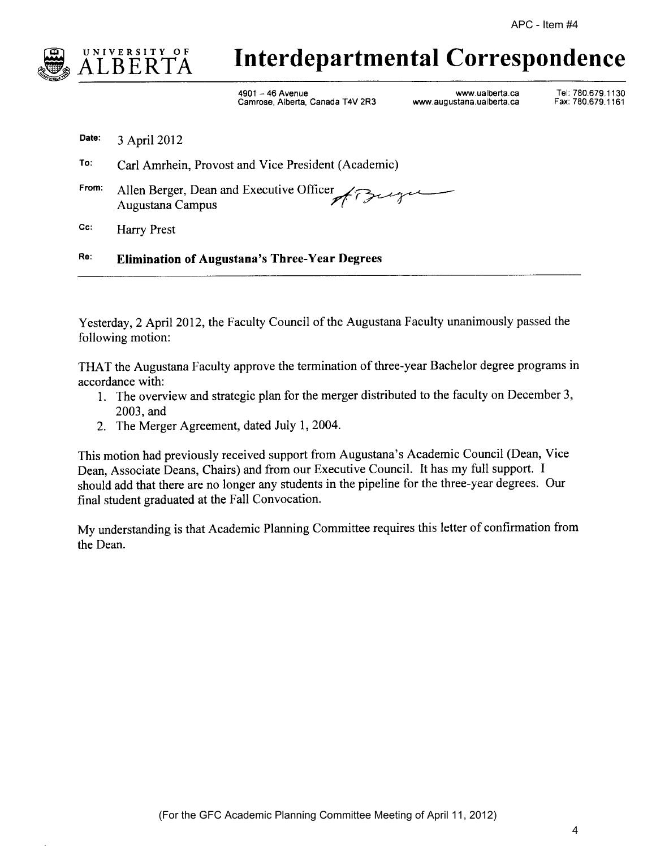

## Interdepartmental Correspondence

4901 ~ 46 Avenue www.ua|berta.ca Tel: 780.679.1130 Camrose, Alberta, Canada T4V 2R3

Date:  $3$  April 2012

To: Carl Amrhein, Provost and Vice President (Academic)

From: Allen Berger, Dean and Executive Officer Augustana Campus

Cc: Harry Prest

Re: Elimination of Augustana's Three-Year Degrees

Yesterday, 2 April 2012, the Faculty Council of the Augustana Faculty unanimously passed the following motion:

THAT the Augustana Faculty approve the termination of three-year Bachelor degree programs in accordance with:

- l. The overview and strategic plan for the merger distributed to the faculty on December 3, 2003, and
- 2. The Merger Agreement, dated July 1, 2004.

This motion had previously received support from Augustana's Academic Council (Dean, Vice Dean, Associate Deans, Chairs) and from our Executive Council. It has my full support. <sup>I</sup> should add that there are no longer any students in the pipeline for the three-year degrees. Our final student graduated at the Fall Convocation.

My understanding is that Academic Planning Committee requires this letter of confirmation from the Dean.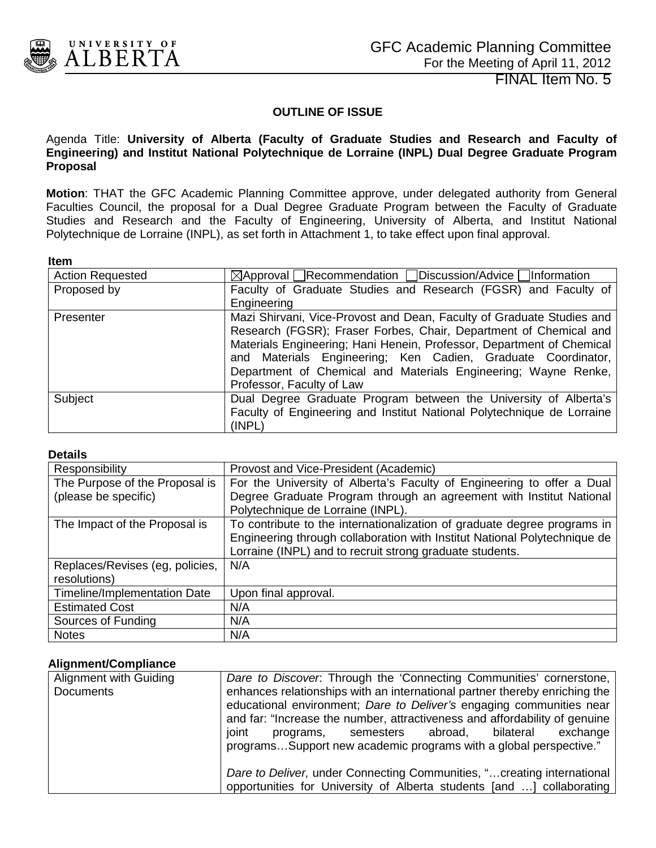<span id="page-9-0"></span>

### **OUTLINE OF ISSUE**

#### Agenda Title: **University of Alberta (Faculty of Graduate Studies and Research and Faculty of Engineering) and Institut National Polytechnique de Lorraine (INPL) Dual Degree Graduate Program Proposal**

**Motion**: THAT the GFC Academic Planning Committee approve, under delegated authority from General Faculties Council, the proposal for a Dual Degree Graduate Program between the Faculty of Graduate Studies and Research and the Faculty of Engineering, University of Alberta, and Institut National Polytechnique de Lorraine (INPL), as set forth in Attachment 1, to take effect upon final approval.

#### **Item**

| .                       |                                                                        |
|-------------------------|------------------------------------------------------------------------|
| <b>Action Requested</b> | $\boxtimes$ Approval Recommendation Discussion/Advice Information      |
| Proposed by             | Faculty of Graduate Studies and Research (FGSR) and Faculty of         |
|                         | Engineering                                                            |
| Presenter               | Mazi Shirvani, Vice-Provost and Dean, Faculty of Graduate Studies and  |
|                         | Research (FGSR); Fraser Forbes, Chair, Department of Chemical and      |
|                         | Materials Engineering; Hani Henein, Professor, Department of Chemical  |
|                         | and Materials Engineering; Ken Cadien, Graduate Coordinator,           |
|                         | Department of Chemical and Materials Engineering; Wayne Renke,         |
|                         | Professor, Faculty of Law                                              |
| Subject                 | Dual Degree Graduate Program between the University of Alberta's       |
|                         | Faculty of Engineering and Institut National Polytechnique de Lorraine |
|                         | (INPL)                                                                 |

#### **Details**

| Responsibility                      | Provost and Vice-President (Academic)                                                                                                                                                                             |
|-------------------------------------|-------------------------------------------------------------------------------------------------------------------------------------------------------------------------------------------------------------------|
| The Purpose of the Proposal is      | For the University of Alberta's Faculty of Engineering to offer a Dual                                                                                                                                            |
| (please be specific)                | Degree Graduate Program through an agreement with Institut National                                                                                                                                               |
|                                     | Polytechnique de Lorraine (INPL).                                                                                                                                                                                 |
| The Impact of the Proposal is       | To contribute to the internationalization of graduate degree programs in<br>Engineering through collaboration with Institut National Polytechnique de<br>Lorraine (INPL) and to recruit strong graduate students. |
| Replaces/Revises (eg, policies,     | N/A                                                                                                                                                                                                               |
| resolutions)                        |                                                                                                                                                                                                                   |
| <b>Timeline/Implementation Date</b> | Upon final approval.                                                                                                                                                                                              |
| <b>Estimated Cost</b>               | N/A                                                                                                                                                                                                               |
| Sources of Funding                  | N/A                                                                                                                                                                                                               |
| <b>Notes</b>                        | N/A                                                                                                                                                                                                               |

#### **Alignment/Compliance**

| Alignment with Guiding | Dare to Discover. Through the 'Connecting Communities' cornerstone,                                                                                                                                                              |
|------------------------|----------------------------------------------------------------------------------------------------------------------------------------------------------------------------------------------------------------------------------|
| <b>Documents</b>       | enhances relationships with an international partner thereby enriching the<br>educational environment; Dare to Deliver's engaging communities near<br>and far: "Increase the number, attractiveness and affordability of genuine |
|                        | joint<br>programs, semesters abroad, bilateral<br>exchange<br>programsSupport new academic programs with a global perspective."                                                                                                  |
|                        | Dare to Deliver, under Connecting Communities, " creating international<br>opportunities for University of Alberta students [and ] collaborating                                                                                 |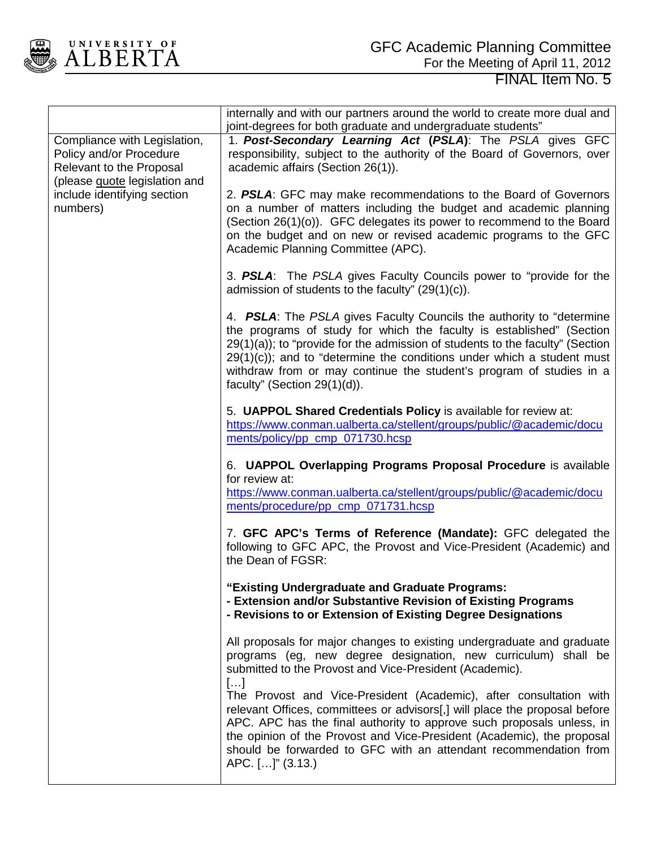

|                                                                                                                                                                 | internally and with our partners around the world to create more dual and<br>joint-degrees for both graduate and undergraduate students"                                                                                                                                                                                                                                                                             |
|-----------------------------------------------------------------------------------------------------------------------------------------------------------------|----------------------------------------------------------------------------------------------------------------------------------------------------------------------------------------------------------------------------------------------------------------------------------------------------------------------------------------------------------------------------------------------------------------------|
| Compliance with Legislation,<br>Policy and/or Procedure<br>Relevant to the Proposal<br>(please quote legislation and<br>include identifying section<br>numbers) | 1. Post-Secondary Learning Act (PSLA): The PSLA gives GFC<br>responsibility, subject to the authority of the Board of Governors, over<br>academic affairs (Section 26(1)).                                                                                                                                                                                                                                           |
|                                                                                                                                                                 | 2. PSLA: GFC may make recommendations to the Board of Governors<br>on a number of matters including the budget and academic planning<br>(Section 26(1)(o)). GFC delegates its power to recommend to the Board<br>on the budget and on new or revised academic programs to the GFC<br>Academic Planning Committee (APC).                                                                                              |
|                                                                                                                                                                 | 3. PSLA: The PSLA gives Faculty Councils power to "provide for the<br>admission of students to the faculty" $(29(1)(c))$ .                                                                                                                                                                                                                                                                                           |
|                                                                                                                                                                 | 4. PSLA: The PSLA gives Faculty Councils the authority to "determine"<br>the programs of study for which the faculty is established" (Section<br>29(1)(a)); to "provide for the admission of students to the faculty" (Section<br>$29(1)(c)$ ; and to "determine the conditions under which a student must<br>withdraw from or may continue the student's program of studies in a<br>faculty" (Section $29(1)(d)$ ). |
|                                                                                                                                                                 | 5. UAPPOL Shared Credentials Policy is available for review at:<br>https://www.conman.ualberta.ca/stellent/groups/public/@academic/docu<br>ments/policy/pp_cmp_071730.hcsp                                                                                                                                                                                                                                           |
|                                                                                                                                                                 | 6. UAPPOL Overlapping Programs Proposal Procedure is available<br>for review at:<br>https://www.conman.ualberta.ca/stellent/groups/public/@academic/docu<br>ments/procedure/pp_cmp_071731.hcsp                                                                                                                                                                                                                       |
|                                                                                                                                                                 | 7. GFC APC's Terms of Reference (Mandate): GFC delegated the<br>following to GFC APC, the Provost and Vice-President (Academic) and<br>the Dean of FGSR:                                                                                                                                                                                                                                                             |
|                                                                                                                                                                 | "Existing Undergraduate and Graduate Programs:<br>- Extension and/or Substantive Revision of Existing Programs<br>- Revisions to or Extension of Existing Degree Designations                                                                                                                                                                                                                                        |
|                                                                                                                                                                 | All proposals for major changes to existing undergraduate and graduate<br>programs (eg, new degree designation, new curriculum) shall be<br>submitted to the Provost and Vice-President (Academic).<br>$[]$                                                                                                                                                                                                          |
|                                                                                                                                                                 | The Provost and Vice-President (Academic), after consultation with<br>relevant Offices, committees or advisors[,] will place the proposal before<br>APC. APC has the final authority to approve such proposals unless, in<br>the opinion of the Provost and Vice-President (Academic), the proposal<br>should be forwarded to GFC with an attendant recommendation from<br>APC. []" (3.13.)                          |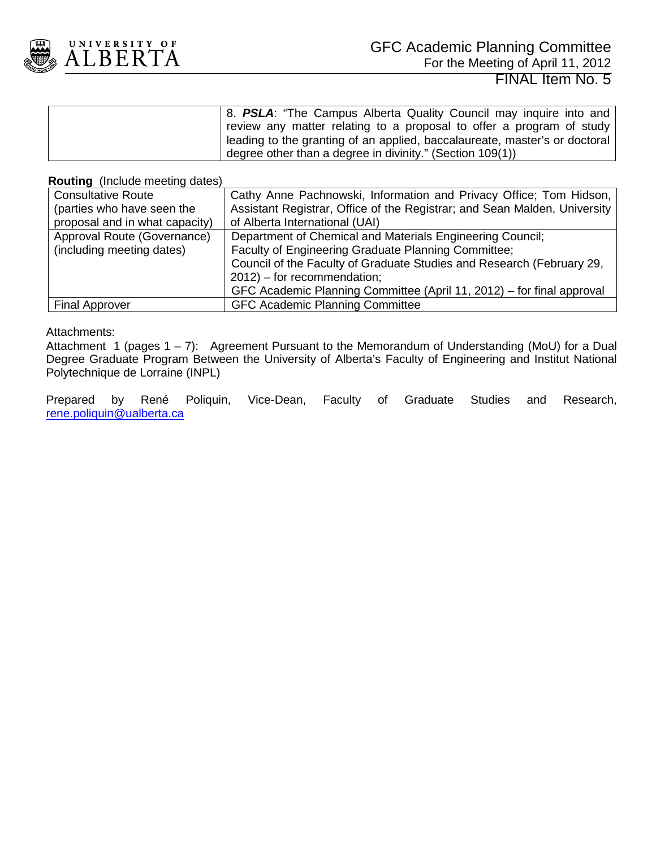

| 8. PSLA: "The Campus Alberta Quality Council may inquire into and            |
|------------------------------------------------------------------------------|
| review any matter relating to a proposal to offer a program of study         |
| l leading to the granting of an applied, baccalaureate, master's or doctoral |
| degree other than a degree in divinity." (Section 109(1))                    |

#### **Routing** (Include meeting dates)

| <b>Consultative Route</b>      | Cathy Anne Pachnowski, Information and Privacy Office; Tom Hidson,        |
|--------------------------------|---------------------------------------------------------------------------|
| (parties who have seen the     | Assistant Registrar, Office of the Registrar; and Sean Malden, University |
| proposal and in what capacity) | of Alberta International (UAI)                                            |
| Approval Route (Governance)    | Department of Chemical and Materials Engineering Council;                 |
| (including meeting dates)      | Faculty of Engineering Graduate Planning Committee;                       |
|                                | Council of the Faculty of Graduate Studies and Research (February 29,     |
|                                | $2012$ ) – for recommendation;                                            |
|                                | GFC Academic Planning Committee (April 11, 2012) – for final approval     |
| <b>Final Approver</b>          | <b>GFC Academic Planning Committee</b>                                    |

#### Attachments:

Attachment 1 (pages 1 – 7): Agreement Pursuant to the Memorandum of Understanding (MoU) for a Dual Degree Graduate Program Between the University of Alberta's Faculty of Engineering and Institut National Polytechnique de Lorraine (INPL)

Prepared by René Poliquin, Vice-Dean, Faculty of Graduate Studies and Research, [rene.poliquin@ualberta.ca](mailto:rene.poliquin@ualberta.ca)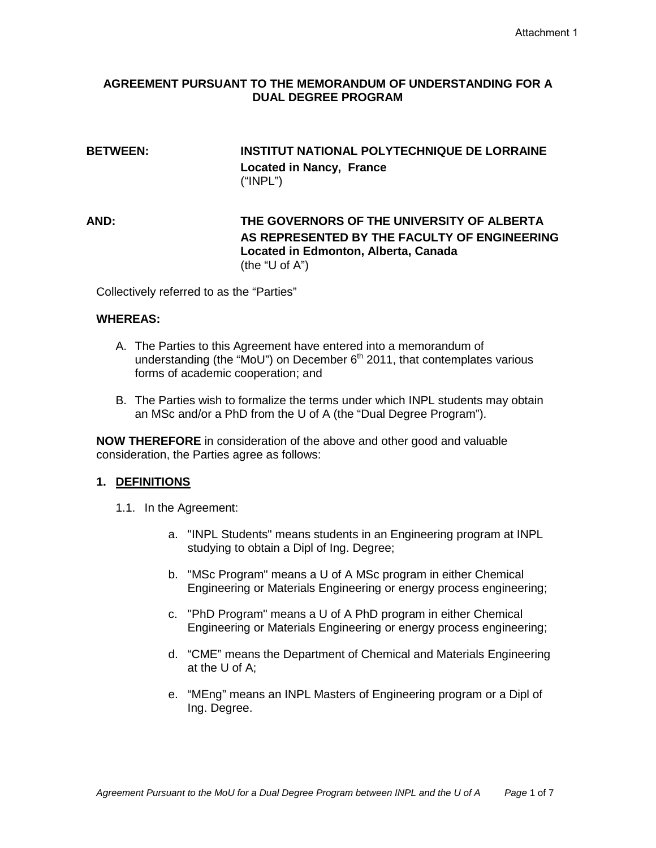#### **AGREEMENT PURSUANT TO THE MEMORANDUM OF UNDERSTANDING FOR A DUAL DEGREE PROGRAM**

#### **BETWEEN: INSTITUT NATIONAL POLYTECHNIQUE DE LORRAINE Located in Nancy, France** ("INPL")

**AND: THE GOVERNORS OF THE UNIVERSITY OF ALBERTA AS REPRESENTED BY THE FACULTY OF ENGINEERING Located in Edmonton, Alberta, Canada** (the "U of A")

Collectively referred to as the "Parties"

#### **WHEREAS:**

- A. The Parties to this Agreement have entered into a memorandum of understanding (the "MoU") on December 6<sup>th</sup> 2011, that contemplates various forms of academic cooperation; and
- B. The Parties wish to formalize the terms under which INPL students may obtain an MSc and/or a PhD from the U of A (the "Dual Degree Program").

**NOW THEREFORE** in consideration of the above and other good and valuable consideration, the Parties agree as follows:

#### **1. DEFINITIONS**

- 1.1. In the Agreement:
	- a. "INPL Students" means students in an Engineering program at INPL studying to obtain a Dipl of Ing. Degree;
	- b. "MSc Program" means a U of A MSc program in either Chemical Engineering or Materials Engineering or energy process engineering;
	- c. "PhD Program" means a U of A PhD program in either Chemical Engineering or Materials Engineering or energy process engineering;
	- d. "CME" means the Department of Chemical and Materials Engineering at the U of A;
	- e. "MEng" means an INPL Masters of Engineering program or a Dipl of Ing. Degree.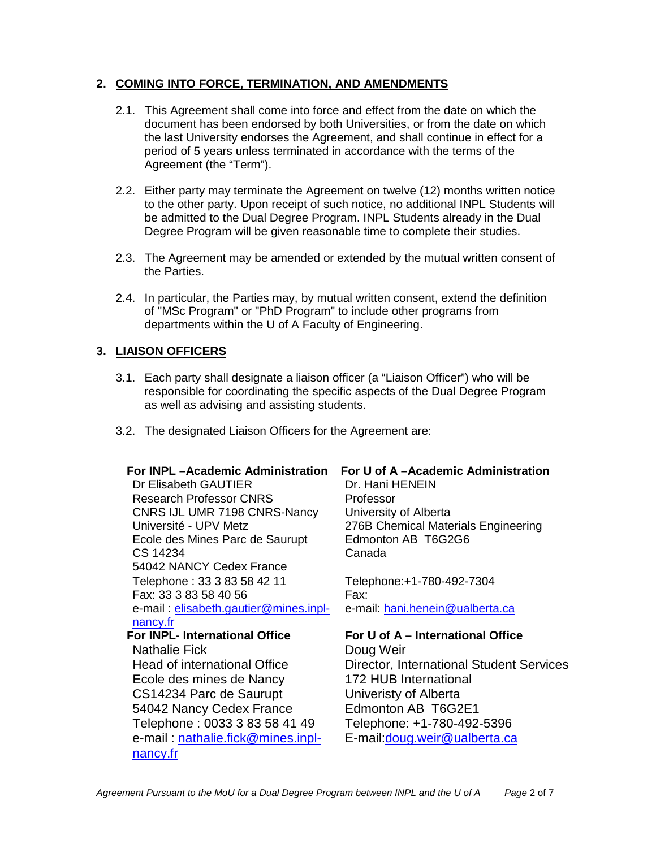#### **2. COMING INTO FORCE, TERMINATION, AND AMENDMENTS**

- 2.1. This Agreement shall come into force and effect from the date on which the document has been endorsed by both Universities, or from the date on which the last University endorses the Agreement, and shall continue in effect for a period of 5 years unless terminated in accordance with the terms of the Agreement (the "Term").
- 2.2. Either party may terminate the Agreement on twelve (12) months written notice to the other party. Upon receipt of such notice, no additional INPL Students will be admitted to the Dual Degree Program. INPL Students already in the Dual Degree Program will be given reasonable time to complete their studies.
- 2.3. The Agreement may be amended or extended by the mutual written consent of the Parties.
- 2.4. In particular, the Parties may, by mutual written consent, extend the definition of "MSc Program" or "PhD Program" to include other programs from departments within the U of A Faculty of Engineering.

#### **3. LIAISON OFFICERS**

[nancy.fr](mailto:nathalie.fick@mines.inpl-nancy.fr)

- 3.1. Each party shall designate a liaison officer (a "Liaison Officer") who will be responsible for coordinating the specific aspects of the Dual Degree Program as well as advising and assisting students.
- 3.2. The designated Liaison Officers for the Agreement are:

Dr Elisabeth GAUTIER Dr. Hani HENEIN Research Professor CNRS Professor CNRS IJL UMR 7198 CNRS-Nancy Université - UPV Metz Ecole des Mines Parc de Saurupt CS 14234 54042 NANCY Cedex France Telephone : 33 3 83 58 42 11 Telephone:+1-780-492-7304 Fax: 33 3 83 58 40 56 e-mail : [elisabeth.gautier@mines.inpl](mailto:elisabeth.gautier@mines.inpl-nancy.fr)[nancy.fr](mailto:elisabeth.gautier@mines.inpl-nancy.fr) **For INPL- International Office** Nathalie Fick Head of international Office Ecole des mines de Nancy CS14234 Parc de Saurupt 54042 Nancy Cedex France Telephone : 0033 3 83 58 41 49 e-mail : [nathalie.fick@mines.inpl-](mailto:nathalie.fick@mines.inpl-nancy.fr)

#### **For INPL –Academic Administration For U of A –Academic Administration**

University of Alberta 276B Chemical Materials Engineering Edmonton AB T6G2G6 Canada

Fax: e-mail: [hani.henein@ualberta.ca](mailto:hani.henein@ualberta.ca)

#### **For U of A – International Office**

Doug Weir Director, International Student Services 172 HUB International Univeristy of Alberta Edmonton AB T6G2E1 Telephone: +1-780-492-5396 E-mail:doug.weir@ualberta.ca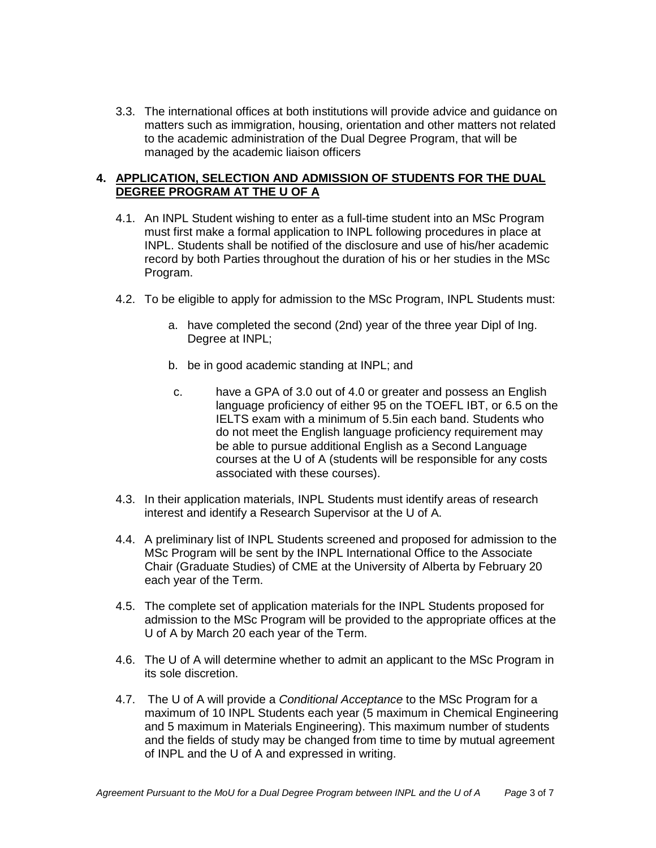3.3. The international offices at both institutions will provide advice and guidance on matters such as immigration, housing, orientation and other matters not related to the academic administration of the Dual Degree Program, that will be managed by the academic liaison officers

#### **4. APPLICATION, SELECTION AND ADMISSION OF STUDENTS FOR THE DUAL DEGREE PROGRAM AT THE U OF A**

- 4.1. An INPL Student wishing to enter as a full-time student into an MSc Program must first make a formal application to INPL following procedures in place at INPL. Students shall be notified of the disclosure and use of his/her academic record by both Parties throughout the duration of his or her studies in the MSc Program.
- 4.2. To be eligible to apply for admission to the MSc Program, INPL Students must:
	- a. have completed the second (2nd) year of the three year Dipl of Ing. Degree at INPL;
	- b. be in good academic standing at INPL; and
	- c. have a GPA of 3.0 out of 4.0 or greater and possess an English language proficiency of either 95 on the TOEFL IBT, or 6.5 on the IELTS exam with a minimum of 5.5in each band. Students who do not meet the English language proficiency requirement may be able to pursue additional English as a Second Language courses at the U of A (students will be responsible for any costs associated with these courses).
- 4.3. In their application materials, INPL Students must identify areas of research interest and identify a Research Supervisor at the U of A.
- 4.4. A preliminary list of INPL Students screened and proposed for admission to the MSc Program will be sent by the INPL International Office to the Associate Chair (Graduate Studies) of CME at the University of Alberta by February 20 each year of the Term.
- 4.5. The complete set of application materials for the INPL Students proposed for admission to the MSc Program will be provided to the appropriate offices at the U of A by March 20 each year of the Term.
- 4.6. The U of A will determine whether to admit an applicant to the MSc Program in its sole discretion.
- 4.7. The U of A will provide a *Conditional Acceptance* to the MSc Program for a maximum of 10 INPL Students each year (5 maximum in Chemical Engineering and 5 maximum in Materials Engineering). This maximum number of students and the fields of study may be changed from time to time by mutual agreement of INPL and the U of A and expressed in writing.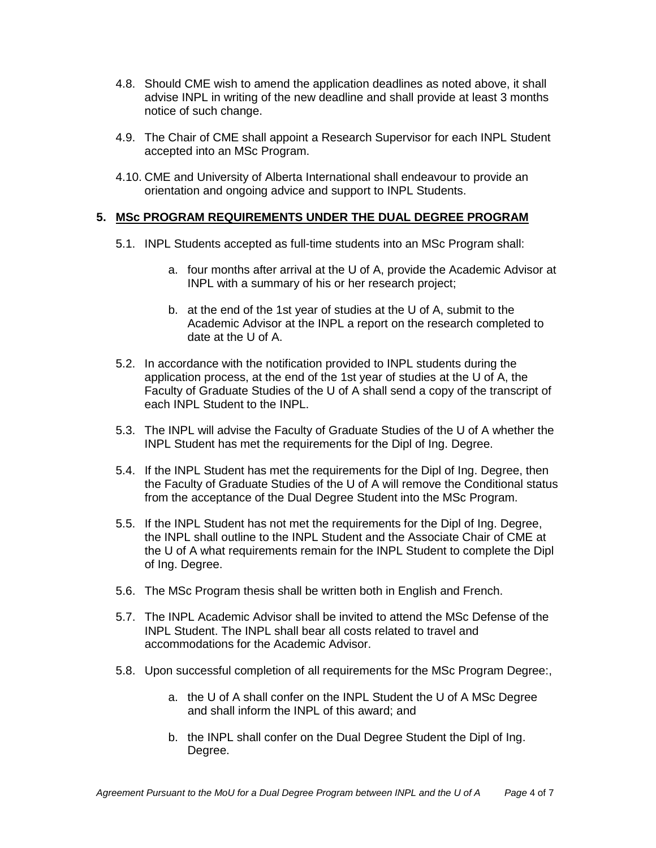- 4.8. Should CME wish to amend the application deadlines as noted above, it shall advise INPL in writing of the new deadline and shall provide at least 3 months notice of such change.
- 4.9. The Chair of CME shall appoint a Research Supervisor for each INPL Student accepted into an MSc Program.
- 4.10. CME and University of Alberta International shall endeavour to provide an orientation and ongoing advice and support to INPL Students.

#### **5. MSc PROGRAM REQUIREMENTS UNDER THE DUAL DEGREE PROGRAM**

- 5.1. INPL Students accepted as full-time students into an MSc Program shall:
	- a. four months after arrival at the U of A, provide the Academic Advisor at INPL with a summary of his or her research project;
	- b. at the end of the 1st year of studies at the U of A, submit to the Academic Advisor at the INPL a report on the research completed to date at the U of A.
- 5.2. In accordance with the notification provided to INPL students during the application process, at the end of the 1st year of studies at the U of A, the Faculty of Graduate Studies of the U of A shall send a copy of the transcript of each INPL Student to the INPL.
- 5.3. The INPL will advise the Faculty of Graduate Studies of the U of A whether the INPL Student has met the requirements for the Dipl of Ing. Degree.
- 5.4. If the INPL Student has met the requirements for the Dipl of Ing. Degree, then the Faculty of Graduate Studies of the U of A will remove the Conditional status from the acceptance of the Dual Degree Student into the MSc Program.
- 5.5. If the INPL Student has not met the requirements for the Dipl of Ing. Degree, the INPL shall outline to the INPL Student and the Associate Chair of CME at the U of A what requirements remain for the INPL Student to complete the Dipl of Ing. Degree.
- 5.6. The MSc Program thesis shall be written both in English and French.
- 5.7. The INPL Academic Advisor shall be invited to attend the MSc Defense of the INPL Student. The INPL shall bear all costs related to travel and accommodations for the Academic Advisor.
- 5.8. Upon successful completion of all requirements for the MSc Program Degree:,
	- a. the U of A shall confer on the INPL Student the U of A MSc Degree and shall inform the INPL of this award; and
	- b. the INPL shall confer on the Dual Degree Student the Dipl of Ing. Degree.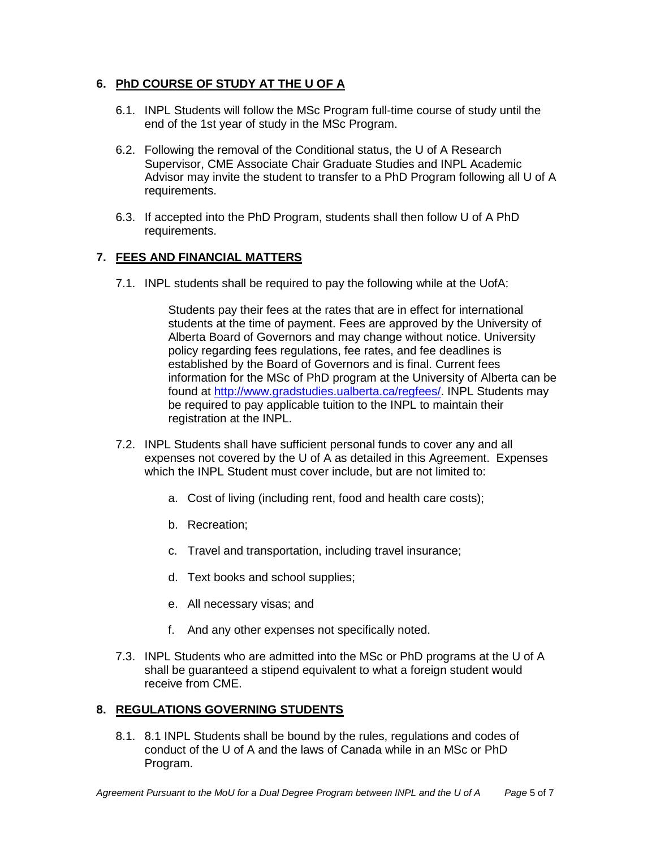#### **6. PhD COURSE OF STUDY AT THE U OF A**

- 6.1. INPL Students will follow the MSc Program full-time course of study until the end of the 1st year of study in the MSc Program.
- 6.2. Following the removal of the Conditional status, the U of A Research Supervisor, CME Associate Chair Graduate Studies and INPL Academic Advisor may invite the student to transfer to a PhD Program following all U of A requirements.
- 6.3. If accepted into the PhD Program, students shall then follow U of A PhD requirements.

#### **7. FEES AND FINANCIAL MATTERS**

7.1. INPL students shall be required to pay the following while at the UofA:

Students pay their fees at the rates that are in effect for international students at the time of payment. Fees are approved by the University of Alberta Board of Governors and may change without notice. University policy regarding fees regulations, fee rates, and fee deadlines is established by the Board of Governors and is final. Current fees information for the MSc of PhD program at the University of Alberta can be found at [http://www.gradstudies.ualberta.ca/regfees/.](http://www.gradstudies.ualberta.ca/regfees/) INPL Students may be required to pay applicable tuition to the INPL to maintain their registration at the INPL.

- 7.2. INPL Students shall have sufficient personal funds to cover any and all expenses not covered by the U of A as detailed in this Agreement. Expenses which the INPL Student must cover include, but are not limited to:
	- a. Cost of living (including rent, food and health care costs);
	- b. Recreation;
	- c. Travel and transportation, including travel insurance;
	- d. Text books and school supplies;
	- e. All necessary visas; and
	- f. And any other expenses not specifically noted.
- 7.3. INPL Students who are admitted into the MSc or PhD programs at the U of A shall be guaranteed a stipend equivalent to what a foreign student would receive from CME.

#### **8. REGULATIONS GOVERNING STUDENTS**

8.1. 8.1 INPL Students shall be bound by the rules, regulations and codes of conduct of the U of A and the laws of Canada while in an MSc or PhD Program.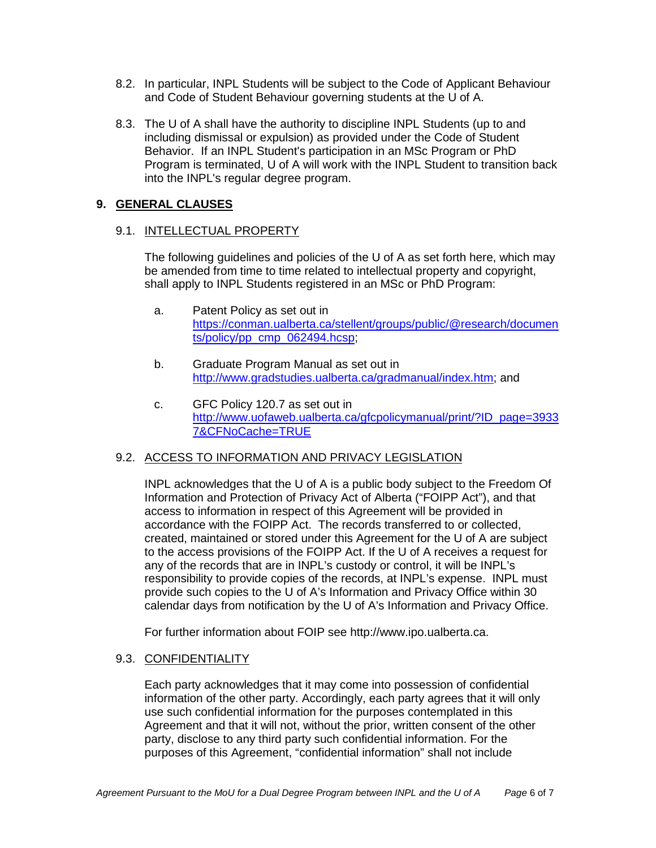- 8.2. In particular, INPL Students will be subject to the Code of Applicant Behaviour and Code of Student Behaviour governing students at the U of A.
- 8.3. The U of A shall have the authority to discipline INPL Students (up to and including dismissal or expulsion) as provided under the Code of Student Behavior. If an INPL Student's participation in an MSc Program or PhD Program is terminated, U of A will work with the INPL Student to transition back into the INPL's regular degree program.

#### **9. GENERAL CLAUSES**

#### 9.1. INTELLECTUAL PROPERTY

The following guidelines and policies of the U of A as set forth here, which may be amended from time to time related to intellectual property and copyright, shall apply to INPL Students registered in an MSc or PhD Program:

- a. Patent Policy as set out in [https://conman.ualberta.ca/stellent/groups/public/@research/documen](https://conman.ualberta.ca/stellent/groups/public/@research/documents/policy/pp_cmp_062494.hcsp) [ts/policy/pp\\_cmp\\_062494.hcsp;](https://conman.ualberta.ca/stellent/groups/public/@research/documents/policy/pp_cmp_062494.hcsp)
- b. Graduate Program Manual as set out in [http://www.gradstudies.ualberta.ca/gradmanual/index.htm;](http://www.gradstudies.ualberta.ca/gradmanual/index.htm) and
- c. GFC Policy 120.7 as set out in [http://www.uofaweb.ualberta.ca/gfcpolicymanual/print/?ID\\_page=3933](http://www.uofaweb.ualberta.ca/gfcpolicymanual/print/?ID_page=39337&CFNoCache=TRUE) [7&CFNoCache=TRUE](http://www.uofaweb.ualberta.ca/gfcpolicymanual/print/?ID_page=39337&CFNoCache=TRUE)

#### 9.2. ACCESS TO INFORMATION AND PRIVACY LEGISLATION

INPL acknowledges that the U of A is a public body subject to the Freedom Of Information and Protection of Privacy Act of Alberta ("FOIPP Act"), and that access to information in respect of this Agreement will be provided in accordance with the FOIPP Act. The records transferred to or collected, created, maintained or stored under this Agreement for the U of A are subject to the access provisions of the FOIPP Act. If the U of A receives a request for any of the records that are in INPL's custody or control, it will be INPL's responsibility to provide copies of the records, at INPL's expense. INPL must provide such copies to the U of A's Information and Privacy Office within 30 calendar days from notification by the U of A's Information and Privacy Office.

For further information about FOIP see [http://www.ipo.ualberta.ca.](http://www.ipo.ualberta.ca/)

#### 9.3. CONFIDENTIALITY

Each party acknowledges that it may come into possession of confidential information of the other party. Accordingly, each party agrees that it will only use such confidential information for the purposes contemplated in this Agreement and that it will not, without the prior, written consent of the other party, disclose to any third party such confidential information. For the purposes of this Agreement, "confidential information" shall not include